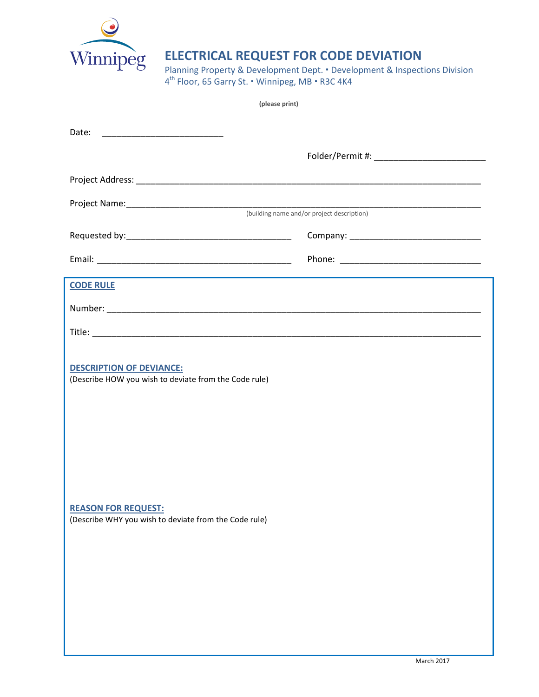

## **ELECTRICAL REQUEST FOR CODE DEVIATION**

Planning Property & Development Dept. • Development & Inspections Division  $4^{\text{th}}$  Floor, 65 Garry St.  $\cdot$  Winnipeg, MB  $\cdot$  R3C 4K4

| (please print)                                                                                                                                                                  |  |
|---------------------------------------------------------------------------------------------------------------------------------------------------------------------------------|--|
|                                                                                                                                                                                 |  |
|                                                                                                                                                                                 |  |
|                                                                                                                                                                                 |  |
|                                                                                                                                                                                 |  |
|                                                                                                                                                                                 |  |
|                                                                                                                                                                                 |  |
|                                                                                                                                                                                 |  |
| <b>CODE RULE</b>                                                                                                                                                                |  |
|                                                                                                                                                                                 |  |
|                                                                                                                                                                                 |  |
| <b>DESCRIPTION OF DEVIANCE:</b><br>(Describe HOW you wish to deviate from the Code rule)<br><b>REASON FOR REQUEST:</b><br>(Describe WHY you wish to deviate from the Code rule) |  |
|                                                                                                                                                                                 |  |
|                                                                                                                                                                                 |  |
|                                                                                                                                                                                 |  |